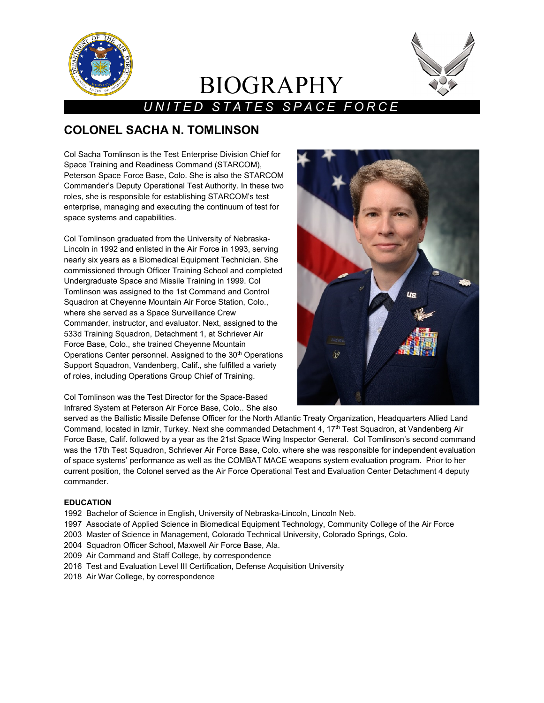

# BIOGRAPHY



# *UNITED STATES SPACE FORCE*

# **COLONEL SACHA N. TOMLINSON**

Col Sacha Tomlinson is the Test Enterprise Division Chief for Space Training and Readiness Command (STARCOM), Peterson Space Force Base, Colo. She is also the STARCOM Commander's Deputy Operational Test Authority. In these two roles, she is responsible for establishing STARCOM's test enterprise, managing and executing the continuum of test for space systems and capabilities.

Col Tomlinson graduated from the University of Nebraska-Lincoln in 1992 and enlisted in the Air Force in 1993, serving nearly six years as a Biomedical Equipment Technician. She commissioned through Officer Training School and completed Undergraduate Space and Missile Training in 1999. Col Tomlinson was assigned to the 1st Command and Control Squadron at Cheyenne Mountain Air Force Station, Colo., where she served as a Space Surveillance Crew Commander, instructor, and evaluator. Next, assigned to the 533d Training Squadron, Detachment 1, at Schriever Air Force Base, Colo., she trained Cheyenne Mountain Operations Center personnel. Assigned to the 30<sup>th</sup> Operations Support Squadron, Vandenberg, Calif., she fulfilled a variety of roles, including Operations Group Chief of Training.

Col Tomlinson was the Test Director for the Space-Based Infrared System at Peterson Air Force Base, Colo.. She also



served as the Ballistic Missile Defense Officer for the North Atlantic Treaty Organization, Headquarters Allied Land Command, located in Izmir, Turkey. Next she commanded Detachment 4, 17<sup>th</sup> Test Squadron, at Vandenberg Air Force Base, Calif. followed by a year as the 21st Space Wing Inspector General. Col Tomlinson's second command was the 17th Test Squadron, Schriever Air Force Base, Colo. where she was responsible for independent evaluation of space systems' performance as well as the COMBAT MACE weapons system evaluation program. Prior to her current position, the Colonel served as the Air Force Operational Test and Evaluation Center Detachment 4 deputy commander.

## **EDUCATION**

- 1992 Bachelor of Science in English, University of Nebraska-Lincoln, Lincoln Neb.
- 1997 Associate of Applied Science in Biomedical Equipment Technology, Community College of the Air Force
- 2003 Master of Science in Management, Colorado Technical University, Colorado Springs, Colo.
- 2004 Squadron Officer School, Maxwell Air Force Base, Ala.
- 2009 Air Command and Staff College, by correspondence
- 2016 Test and Evaluation Level III Certification, Defense Acquisition University
- 2018 Air War College, by correspondence